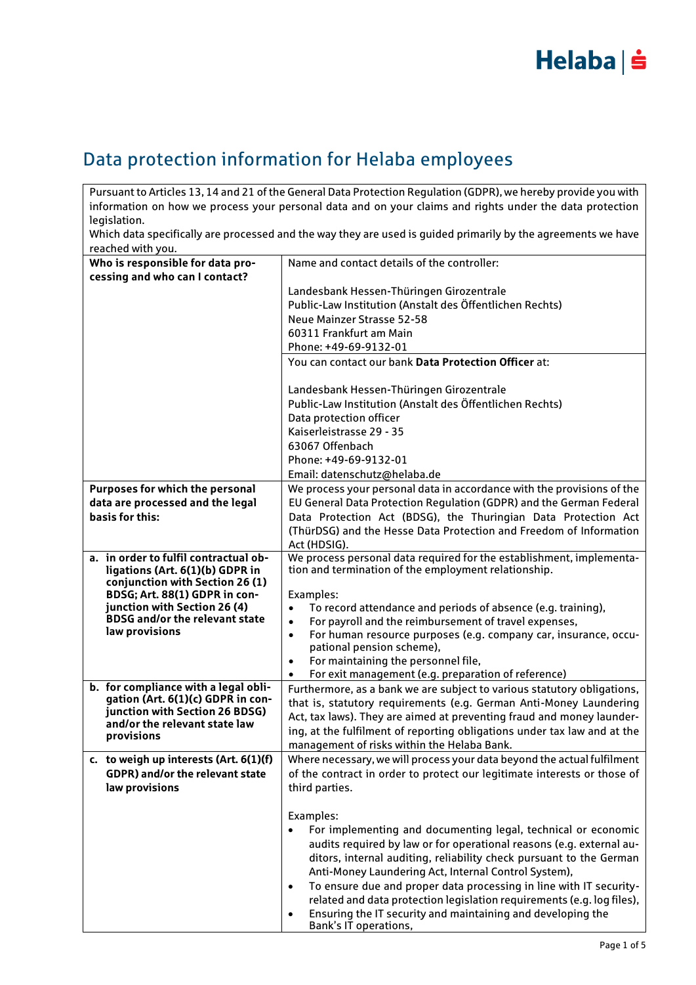

### Data protection information for Helaba employees

Pursuant to Articles 13, 14 and 21 of the General Data Protection Regulation (GDPR), we hereby provide you with information on how we process your personal data and on your claims and rights under the data protection legislation.

Which data specifically are processed and the way they are used is guided primarily by the agreements we have reached with you.

| <b>ICULICU WILII YUU.</b>                                       |                                                                                                                                                    |
|-----------------------------------------------------------------|----------------------------------------------------------------------------------------------------------------------------------------------------|
| Who is responsible for data pro-                                | Name and contact details of the controller:                                                                                                        |
| cessing and who can I contact?                                  |                                                                                                                                                    |
|                                                                 | Landesbank Hessen-Thüringen Girozentrale                                                                                                           |
|                                                                 | Public-Law Institution (Anstalt des Öffentlichen Rechts)                                                                                           |
|                                                                 | Neue Mainzer Strasse 52-58<br>60311 Frankfurt am Main                                                                                              |
|                                                                 | Phone: +49-69-9132-01                                                                                                                              |
|                                                                 | You can contact our bank Data Protection Officer at:                                                                                               |
|                                                                 |                                                                                                                                                    |
|                                                                 | Landesbank Hessen-Thüringen Girozentrale                                                                                                           |
|                                                                 | Public-Law Institution (Anstalt des Öffentlichen Rechts)                                                                                           |
|                                                                 | Data protection officer                                                                                                                            |
|                                                                 | Kaiserleistrasse 29 - 35                                                                                                                           |
|                                                                 | 63067 Offenbach                                                                                                                                    |
|                                                                 | Phone: +49-69-9132-01                                                                                                                              |
|                                                                 | Email: datenschutz@helaba.de                                                                                                                       |
| Purposes for which the personal                                 | We process your personal data in accordance with the provisions of the                                                                             |
| data are processed and the legal                                | EU General Data Protection Regulation (GDPR) and the German Federal                                                                                |
| basis for this:                                                 | Data Protection Act (BDSG), the Thuringian Data Protection Act                                                                                     |
|                                                                 | (ThürDSG) and the Hesse Data Protection and Freedom of Information                                                                                 |
| a. in order to fulfil contractual ob-                           | Act (HDSIG).<br>We process personal data required for the establishment, implementa-                                                               |
| ligations (Art. 6(1)(b) GDPR in                                 | tion and termination of the employment relationship.                                                                                               |
| conjunction with Section 26 (1)                                 |                                                                                                                                                    |
| BDSG; Art. 88(1) GDPR in con-                                   | Examples:                                                                                                                                          |
| junction with Section 26 (4)                                    | To record attendance and periods of absence (e.g. training),                                                                                       |
| <b>BDSG and/or the relevant state</b><br>law provisions         | For payroll and the reimbursement of travel expenses,<br>$\bullet$                                                                                 |
|                                                                 | For human resource purposes (e.g. company car, insurance, occu-<br>$\bullet$<br>pational pension scheme),                                          |
|                                                                 | For maintaining the personnel file,<br>$\bullet$                                                                                                   |
|                                                                 | For exit management (e.g. preparation of reference)<br>$\bullet$                                                                                   |
| b. for compliance with a legal obli-                            | Furthermore, as a bank we are subject to various statutory obligations,                                                                            |
| gation (Art. 6(1)(c) GDPR in con-                               | that is, statutory requirements (e.g. German Anti-Money Laundering                                                                                 |
| junction with Section 26 BDSG)<br>and/or the relevant state law | Act, tax laws). They are aimed at preventing fraud and money launder-                                                                              |
| provisions                                                      | ing, at the fulfilment of reporting obligations under tax law and at the                                                                           |
|                                                                 | management of risks within the Helaba Bank.                                                                                                        |
| c. to weigh up interests (Art. 6(1)(f)                          | Where necessary, we will process your data beyond the actual fulfilment                                                                            |
| <b>GDPR) and/or the relevant state</b>                          | of the contract in order to protect our legitimate interests or those of                                                                           |
| law provisions                                                  | third parties.                                                                                                                                     |
|                                                                 |                                                                                                                                                    |
|                                                                 | Examples:                                                                                                                                          |
|                                                                 | For implementing and documenting legal, technical or economic<br>$\bullet$<br>audits required by law or for operational reasons (e.g. external au- |
|                                                                 | ditors, internal auditing, reliability check pursuant to the German                                                                                |
|                                                                 | Anti-Money Laundering Act, Internal Control System),                                                                                               |
|                                                                 | To ensure due and proper data processing in line with IT security-<br>$\bullet$                                                                    |
|                                                                 | related and data protection legislation requirements (e.g. log files),                                                                             |
|                                                                 | Ensuring the IT security and maintaining and developing the<br>$\bullet$                                                                           |
|                                                                 | Bank's IT operations,                                                                                                                              |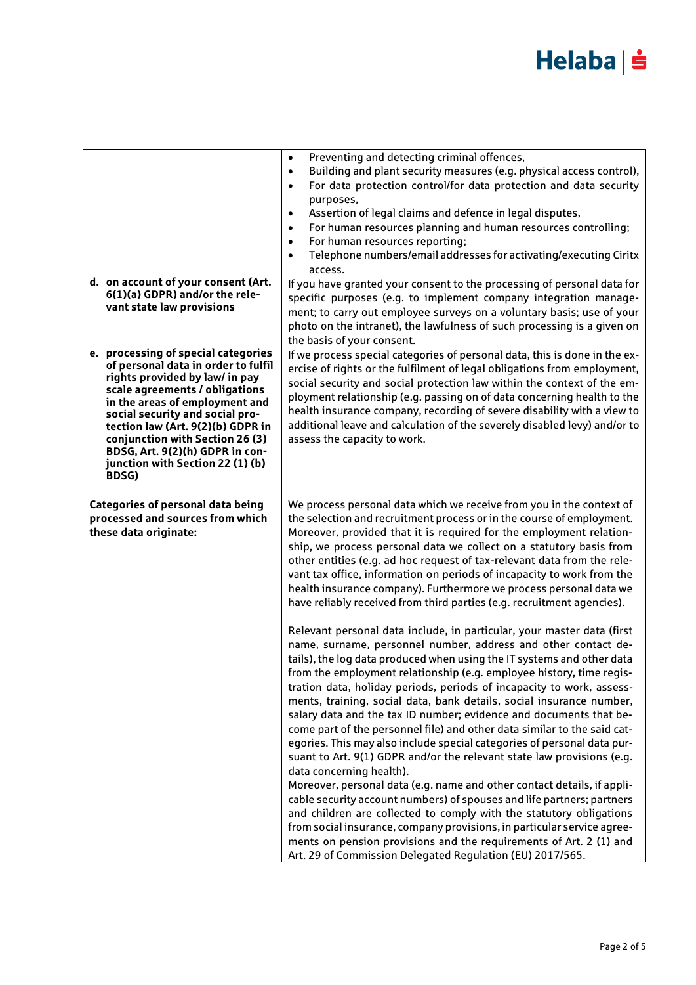|                                                                                                                                                                                                                                                                                                                                                                             | Preventing and detecting criminal offences,<br>$\bullet$<br>Building and plant security measures (e.g. physical access control),<br>$\bullet$<br>For data protection control/for data protection and data security<br>$\bullet$<br>purposes,<br>Assertion of legal claims and defence in legal disputes,<br>$\bullet$<br>For human resources planning and human resources controlling;<br>$\bullet$<br>For human resources reporting;<br>$\bullet$<br>Telephone numbers/email addresses for activating/executing Ciritx<br>access.                                                                                                                                                                                                                                                                                                                                                                                                                                                                                                                                                                                                                                                                                                                                                                                                                                                                                                                                                                                                                                                                                                                                                                                                                                                                                           |
|-----------------------------------------------------------------------------------------------------------------------------------------------------------------------------------------------------------------------------------------------------------------------------------------------------------------------------------------------------------------------------|------------------------------------------------------------------------------------------------------------------------------------------------------------------------------------------------------------------------------------------------------------------------------------------------------------------------------------------------------------------------------------------------------------------------------------------------------------------------------------------------------------------------------------------------------------------------------------------------------------------------------------------------------------------------------------------------------------------------------------------------------------------------------------------------------------------------------------------------------------------------------------------------------------------------------------------------------------------------------------------------------------------------------------------------------------------------------------------------------------------------------------------------------------------------------------------------------------------------------------------------------------------------------------------------------------------------------------------------------------------------------------------------------------------------------------------------------------------------------------------------------------------------------------------------------------------------------------------------------------------------------------------------------------------------------------------------------------------------------------------------------------------------------------------------------------------------------|
| d. on account of your consent (Art.<br>6(1)(a) GDPR) and/or the rele-<br>vant state law provisions                                                                                                                                                                                                                                                                          | If you have granted your consent to the processing of personal data for<br>specific purposes (e.g. to implement company integration manage-<br>ment; to carry out employee surveys on a voluntary basis; use of your<br>photo on the intranet), the lawfulness of such processing is a given on<br>the basis of your consent.                                                                                                                                                                                                                                                                                                                                                                                                                                                                                                                                                                                                                                                                                                                                                                                                                                                                                                                                                                                                                                                                                                                                                                                                                                                                                                                                                                                                                                                                                                |
| e. processing of special categories<br>of personal data in order to fulfil<br>rights provided by law/ in pay<br>scale agreements / obligations<br>in the areas of employment and<br>social security and social pro-<br>tection law (Art. 9(2)(b) GDPR in<br>conjunction with Section 26 (3)<br>BDSG, Art. 9(2)(h) GDPR in con-<br>junction with Section 22 (1) (b)<br>BDSG) | If we process special categories of personal data, this is done in the ex-<br>ercise of rights or the fulfilment of legal obligations from employment,<br>social security and social protection law within the context of the em-<br>ployment relationship (e.g. passing on of data concerning health to the<br>health insurance company, recording of severe disability with a view to<br>additional leave and calculation of the severely disabled levy) and/or to<br>assess the capacity to work.                                                                                                                                                                                                                                                                                                                                                                                                                                                                                                                                                                                                                                                                                                                                                                                                                                                                                                                                                                                                                                                                                                                                                                                                                                                                                                                         |
| <b>Categories of personal data being</b><br>processed and sources from which<br>these data originate:                                                                                                                                                                                                                                                                       | We process personal data which we receive from you in the context of<br>the selection and recruitment process or in the course of employment.<br>Moreover, provided that it is required for the employment relation-<br>ship, we process personal data we collect on a statutory basis from<br>other entities (e.g. ad hoc request of tax-relevant data from the rele-<br>vant tax office, information on periods of incapacity to work from the<br>health insurance company). Furthermore we process personal data we<br>have reliably received from third parties (e.g. recruitment agencies).<br>Relevant personal data include, in particular, your master data (first<br>name, surname, personnel number, address and other contact de-<br>tails), the log data produced when using the IT systems and other data<br>from the employment relationship (e.g. employee history, time regis-<br>tration data, holiday periods, periods of incapacity to work, assess-<br>ments, training, social data, bank details, social insurance number,<br>salary data and the tax ID number; evidence and documents that be-<br>come part of the personnel file) and other data similar to the said cat-<br>egories. This may also include special categories of personal data pur-<br>suant to Art. 9(1) GDPR and/or the relevant state law provisions (e.g.<br>data concerning health).<br>Moreover, personal data (e.g. name and other contact details, if appli-<br>cable security account numbers) of spouses and life partners; partners<br>and children are collected to comply with the statutory obligations<br>from social insurance, company provisions, in particular service agree-<br>ments on pension provisions and the requirements of Art. 2 (1) and<br>Art. 29 of Commission Delegated Regulation (EU) 2017/565. |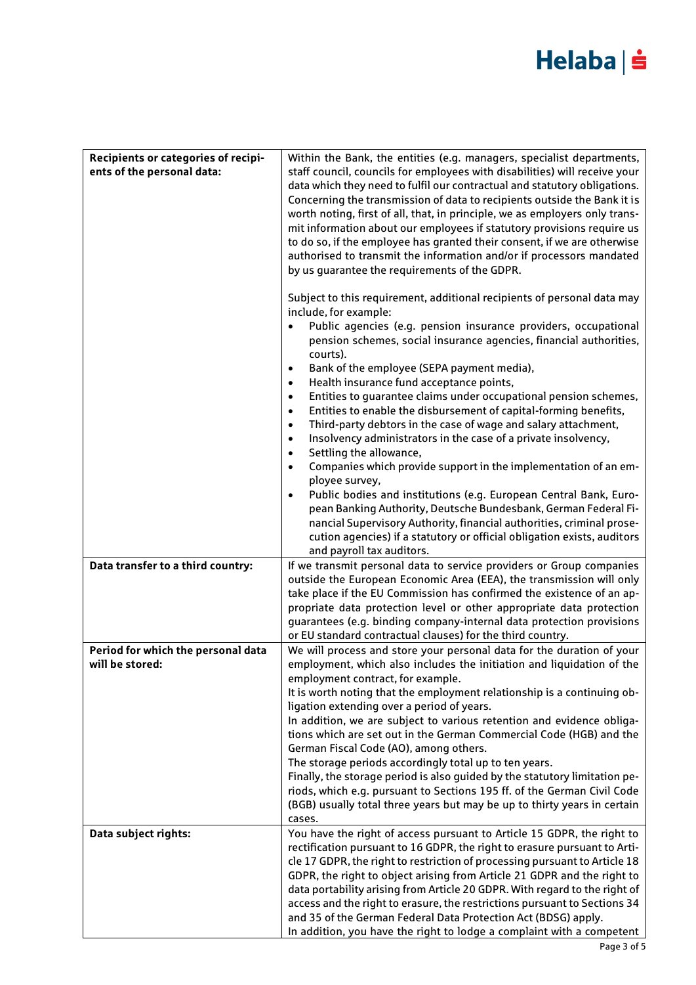| Recipients or categories of recipi-<br>ents of the personal data: | Within the Bank, the entities (e.g. managers, specialist departments,<br>staff council, councils for employees with disabilities) will receive your<br>data which they need to fulfil our contractual and statutory obligations.<br>Concerning the transmission of data to recipients outside the Bank it is<br>worth noting, first of all, that, in principle, we as employers only trans-<br>mit information about our employees if statutory provisions require us<br>to do so, if the employee has granted their consent, if we are otherwise<br>authorised to transmit the information and/or if processors mandated<br>by us quarantee the requirements of the GDPR.<br>Subject to this requirement, additional recipients of personal data may<br>include, for example:<br>Public agencies (e.g. pension insurance providers, occupational<br>$\bullet$<br>pension schemes, social insurance agencies, financial authorities,<br>courts).<br>Bank of the employee (SEPA payment media),<br>$\bullet$<br>Health insurance fund acceptance points,<br>$\bullet$<br>Entities to guarantee claims under occupational pension schemes,<br>$\bullet$<br>Entities to enable the disbursement of capital-forming benefits,<br>$\bullet$<br>Third-party debtors in the case of wage and salary attachment,<br>$\bullet$<br>Insolvency administrators in the case of a private insolvency,<br>$\bullet$<br>Settling the allowance,<br>$\bullet$<br>Companies which provide support in the implementation of an em-<br>$\bullet$<br>ployee survey,<br>Public bodies and institutions (e.g. European Central Bank, Euro-<br>$\bullet$<br>pean Banking Authority, Deutsche Bundesbank, German Federal Fi-<br>nancial Supervisory Authority, financial authorities, criminal prose- |
|-------------------------------------------------------------------|------------------------------------------------------------------------------------------------------------------------------------------------------------------------------------------------------------------------------------------------------------------------------------------------------------------------------------------------------------------------------------------------------------------------------------------------------------------------------------------------------------------------------------------------------------------------------------------------------------------------------------------------------------------------------------------------------------------------------------------------------------------------------------------------------------------------------------------------------------------------------------------------------------------------------------------------------------------------------------------------------------------------------------------------------------------------------------------------------------------------------------------------------------------------------------------------------------------------------------------------------------------------------------------------------------------------------------------------------------------------------------------------------------------------------------------------------------------------------------------------------------------------------------------------------------------------------------------------------------------------------------------------------------------------------------------------------------------------------------------------------------------------------|
|                                                                   | cution agencies) if a statutory or official obligation exists, auditors<br>and payroll tax auditors.                                                                                                                                                                                                                                                                                                                                                                                                                                                                                                                                                                                                                                                                                                                                                                                                                                                                                                                                                                                                                                                                                                                                                                                                                                                                                                                                                                                                                                                                                                                                                                                                                                                                         |
| Data transfer to a third country:                                 | If we transmit personal data to service providers or Group companies                                                                                                                                                                                                                                                                                                                                                                                                                                                                                                                                                                                                                                                                                                                                                                                                                                                                                                                                                                                                                                                                                                                                                                                                                                                                                                                                                                                                                                                                                                                                                                                                                                                                                                         |
|                                                                   | outside the European Economic Area (EEA), the transmission will only                                                                                                                                                                                                                                                                                                                                                                                                                                                                                                                                                                                                                                                                                                                                                                                                                                                                                                                                                                                                                                                                                                                                                                                                                                                                                                                                                                                                                                                                                                                                                                                                                                                                                                         |
|                                                                   | take place if the EU Commission has confirmed the existence of an ap-                                                                                                                                                                                                                                                                                                                                                                                                                                                                                                                                                                                                                                                                                                                                                                                                                                                                                                                                                                                                                                                                                                                                                                                                                                                                                                                                                                                                                                                                                                                                                                                                                                                                                                        |
|                                                                   | propriate data protection level or other appropriate data protection                                                                                                                                                                                                                                                                                                                                                                                                                                                                                                                                                                                                                                                                                                                                                                                                                                                                                                                                                                                                                                                                                                                                                                                                                                                                                                                                                                                                                                                                                                                                                                                                                                                                                                         |
|                                                                   | guarantees (e.g. binding company-internal data protection provisions                                                                                                                                                                                                                                                                                                                                                                                                                                                                                                                                                                                                                                                                                                                                                                                                                                                                                                                                                                                                                                                                                                                                                                                                                                                                                                                                                                                                                                                                                                                                                                                                                                                                                                         |
|                                                                   | or EU standard contractual clauses) for the third country.                                                                                                                                                                                                                                                                                                                                                                                                                                                                                                                                                                                                                                                                                                                                                                                                                                                                                                                                                                                                                                                                                                                                                                                                                                                                                                                                                                                                                                                                                                                                                                                                                                                                                                                   |
| Period for which the personal data                                | We will process and store your personal data for the duration of your                                                                                                                                                                                                                                                                                                                                                                                                                                                                                                                                                                                                                                                                                                                                                                                                                                                                                                                                                                                                                                                                                                                                                                                                                                                                                                                                                                                                                                                                                                                                                                                                                                                                                                        |
| will be stored:                                                   | employment, which also includes the initiation and liquidation of the                                                                                                                                                                                                                                                                                                                                                                                                                                                                                                                                                                                                                                                                                                                                                                                                                                                                                                                                                                                                                                                                                                                                                                                                                                                                                                                                                                                                                                                                                                                                                                                                                                                                                                        |
|                                                                   | employment contract, for example.<br>It is worth noting that the employment relationship is a continuing ob-                                                                                                                                                                                                                                                                                                                                                                                                                                                                                                                                                                                                                                                                                                                                                                                                                                                                                                                                                                                                                                                                                                                                                                                                                                                                                                                                                                                                                                                                                                                                                                                                                                                                 |
|                                                                   | ligation extending over a period of years.                                                                                                                                                                                                                                                                                                                                                                                                                                                                                                                                                                                                                                                                                                                                                                                                                                                                                                                                                                                                                                                                                                                                                                                                                                                                                                                                                                                                                                                                                                                                                                                                                                                                                                                                   |
|                                                                   | In addition, we are subject to various retention and evidence obliga-                                                                                                                                                                                                                                                                                                                                                                                                                                                                                                                                                                                                                                                                                                                                                                                                                                                                                                                                                                                                                                                                                                                                                                                                                                                                                                                                                                                                                                                                                                                                                                                                                                                                                                        |
|                                                                   | tions which are set out in the German Commercial Code (HGB) and the                                                                                                                                                                                                                                                                                                                                                                                                                                                                                                                                                                                                                                                                                                                                                                                                                                                                                                                                                                                                                                                                                                                                                                                                                                                                                                                                                                                                                                                                                                                                                                                                                                                                                                          |
|                                                                   | German Fiscal Code (AO), among others.                                                                                                                                                                                                                                                                                                                                                                                                                                                                                                                                                                                                                                                                                                                                                                                                                                                                                                                                                                                                                                                                                                                                                                                                                                                                                                                                                                                                                                                                                                                                                                                                                                                                                                                                       |
|                                                                   | The storage periods accordingly total up to ten years.                                                                                                                                                                                                                                                                                                                                                                                                                                                                                                                                                                                                                                                                                                                                                                                                                                                                                                                                                                                                                                                                                                                                                                                                                                                                                                                                                                                                                                                                                                                                                                                                                                                                                                                       |
|                                                                   | Finally, the storage period is also guided by the statutory limitation pe-                                                                                                                                                                                                                                                                                                                                                                                                                                                                                                                                                                                                                                                                                                                                                                                                                                                                                                                                                                                                                                                                                                                                                                                                                                                                                                                                                                                                                                                                                                                                                                                                                                                                                                   |
|                                                                   | riods, which e.g. pursuant to Sections 195 ff. of the German Civil Code                                                                                                                                                                                                                                                                                                                                                                                                                                                                                                                                                                                                                                                                                                                                                                                                                                                                                                                                                                                                                                                                                                                                                                                                                                                                                                                                                                                                                                                                                                                                                                                                                                                                                                      |
|                                                                   | (BGB) usually total three years but may be up to thirty years in certain<br>cases.                                                                                                                                                                                                                                                                                                                                                                                                                                                                                                                                                                                                                                                                                                                                                                                                                                                                                                                                                                                                                                                                                                                                                                                                                                                                                                                                                                                                                                                                                                                                                                                                                                                                                           |
| Data subject rights:                                              | You have the right of access pursuant to Article 15 GDPR, the right to                                                                                                                                                                                                                                                                                                                                                                                                                                                                                                                                                                                                                                                                                                                                                                                                                                                                                                                                                                                                                                                                                                                                                                                                                                                                                                                                                                                                                                                                                                                                                                                                                                                                                                       |
|                                                                   | rectification pursuant to 16 GDPR, the right to erasure pursuant to Arti-                                                                                                                                                                                                                                                                                                                                                                                                                                                                                                                                                                                                                                                                                                                                                                                                                                                                                                                                                                                                                                                                                                                                                                                                                                                                                                                                                                                                                                                                                                                                                                                                                                                                                                    |
|                                                                   | cle 17 GDPR, the right to restriction of processing pursuant to Article 18                                                                                                                                                                                                                                                                                                                                                                                                                                                                                                                                                                                                                                                                                                                                                                                                                                                                                                                                                                                                                                                                                                                                                                                                                                                                                                                                                                                                                                                                                                                                                                                                                                                                                                   |
|                                                                   | GDPR, the right to object arising from Article 21 GDPR and the right to                                                                                                                                                                                                                                                                                                                                                                                                                                                                                                                                                                                                                                                                                                                                                                                                                                                                                                                                                                                                                                                                                                                                                                                                                                                                                                                                                                                                                                                                                                                                                                                                                                                                                                      |
|                                                                   | data portability arising from Article 20 GDPR. With regard to the right of                                                                                                                                                                                                                                                                                                                                                                                                                                                                                                                                                                                                                                                                                                                                                                                                                                                                                                                                                                                                                                                                                                                                                                                                                                                                                                                                                                                                                                                                                                                                                                                                                                                                                                   |
|                                                                   | access and the right to erasure, the restrictions pursuant to Sections 34<br>and 35 of the German Federal Data Protection Act (BDSG) apply.                                                                                                                                                                                                                                                                                                                                                                                                                                                                                                                                                                                                                                                                                                                                                                                                                                                                                                                                                                                                                                                                                                                                                                                                                                                                                                                                                                                                                                                                                                                                                                                                                                  |
|                                                                   | In addition, you have the right to lodge a complaint with a competent                                                                                                                                                                                                                                                                                                                                                                                                                                                                                                                                                                                                                                                                                                                                                                                                                                                                                                                                                                                                                                                                                                                                                                                                                                                                                                                                                                                                                                                                                                                                                                                                                                                                                                        |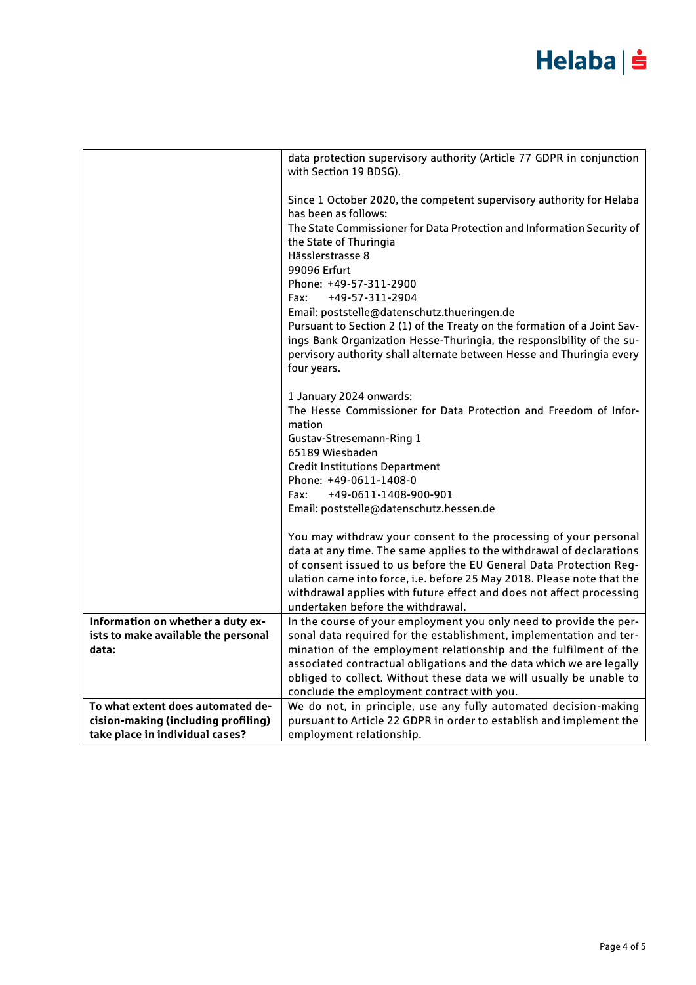|                                              | data protection supervisory authority (Article 77 GDPR in conjunction<br>with Section 19 BDSG).                                         |
|----------------------------------------------|-----------------------------------------------------------------------------------------------------------------------------------------|
|                                              |                                                                                                                                         |
|                                              | Since 1 October 2020, the competent supervisory authority for Helaba<br>has been as follows:                                            |
|                                              | The State Commissioner for Data Protection and Information Security of<br>the State of Thuringia                                        |
|                                              | Hässlerstrasse 8                                                                                                                        |
|                                              | 99096 Erfurt                                                                                                                            |
|                                              | Phone: +49-57-311-2900                                                                                                                  |
|                                              | +49-57-311-2904<br>Fax:<br>Email: poststelle@datenschutz.thueringen.de                                                                  |
|                                              | Pursuant to Section 2 (1) of the Treaty on the formation of a Joint Sav-                                                                |
|                                              | ings Bank Organization Hesse-Thuringia, the responsibility of the su-                                                                   |
|                                              | pervisory authority shall alternate between Hesse and Thuringia every                                                                   |
|                                              | four years.                                                                                                                             |
|                                              | 1 January 2024 onwards:                                                                                                                 |
|                                              | The Hesse Commissioner for Data Protection and Freedom of Infor-<br>mation                                                              |
|                                              | Gustav-Stresemann-Ring 1                                                                                                                |
|                                              | 65189 Wiesbaden                                                                                                                         |
|                                              | <b>Credit Institutions Department</b>                                                                                                   |
|                                              | Phone: +49-0611-1408-0                                                                                                                  |
|                                              | Fax:<br>+49-0611-1408-900-901                                                                                                           |
|                                              | Email: poststelle@datenschutz.hessen.de                                                                                                 |
|                                              | You may withdraw your consent to the processing of your personal                                                                        |
|                                              | data at any time. The same applies to the withdrawal of declarations                                                                    |
|                                              | of consent issued to us before the EU General Data Protection Reg-                                                                      |
|                                              | ulation came into force, i.e. before 25 May 2018. Please note that the                                                                  |
|                                              | withdrawal applies with future effect and does not affect processing                                                                    |
|                                              | undertaken before the withdrawal.                                                                                                       |
| Information on whether a duty ex-            | In the course of your employment you only need to provide the per-                                                                      |
| ists to make available the personal<br>data: | sonal data required for the establishment, implementation and ter-<br>mination of the employment relationship and the fulfilment of the |
|                                              | associated contractual obligations and the data which we are legally                                                                    |
|                                              | obliged to collect. Without these data we will usually be unable to                                                                     |
|                                              | conclude the employment contract with you.                                                                                              |
| To what extent does automated de-            | We do not, in principle, use any fully automated decision-making                                                                        |
| cision-making (including profiling)          | pursuant to Article 22 GDPR in order to establish and implement the                                                                     |
| take place in individual cases?              | employment relationship.                                                                                                                |